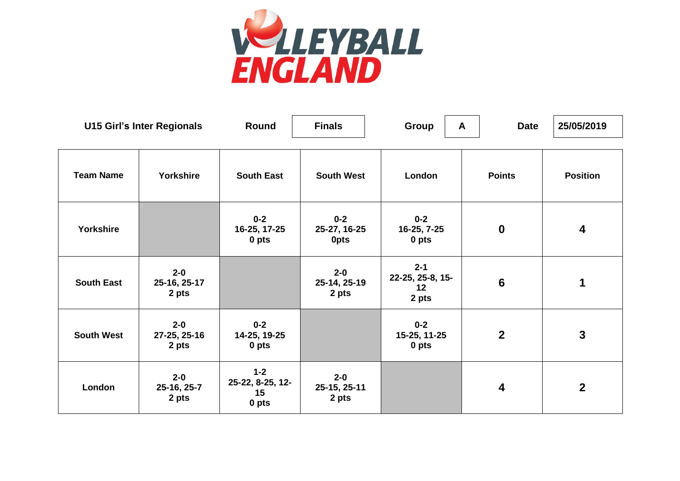

| <b>U15 Girl's Inter Regionals</b> |                                  | Round                                      | <b>Finals</b>                    | Group                                      | A | <b>Date</b>      | 25/05/2019              |
|-----------------------------------|----------------------------------|--------------------------------------------|----------------------------------|--------------------------------------------|---|------------------|-------------------------|
| <b>Team Name</b>                  | Yorkshire                        | <b>South East</b>                          | <b>South West</b>                | London                                     |   | <b>Points</b>    | <b>Position</b>         |
| Yorkshire                         |                                  | $0 - 2$<br>16-25, 17-25<br>0 pts           | $0 - 2$<br>25-27, 16-25<br>0pts  | $0 - 2$<br>16-25, 7-25<br>0 pts            |   | $\mathbf 0$      | $\overline{\mathbf{4}}$ |
| <b>South East</b>                 | $2 - 0$<br>25-16, 25-17<br>2 pts |                                            | $2 - 0$<br>25-14, 25-19<br>2 pts | $2 - 1$<br>22-25, 25-8, 15-<br>12<br>2 pts |   | 6                | $\mathbf 1$             |
| <b>South West</b>                 | $2 - 0$<br>27-25, 25-16<br>2 pts | $0 - 2$<br>14-25, 19-25<br>0 pts           |                                  | $0 - 2$<br>15-25, 11-25<br>0 pts           |   | $\boldsymbol{2}$ | $\mathbf{3}$            |
| London                            | $2 - 0$<br>25-16, 25-7<br>2 pts  | $1 - 2$<br>25-22, 8-25, 12-<br>15<br>0 pts | $2 - 0$<br>25-15, 25-11<br>2 pts |                                            |   | $\boldsymbol{4}$ | $\overline{2}$          |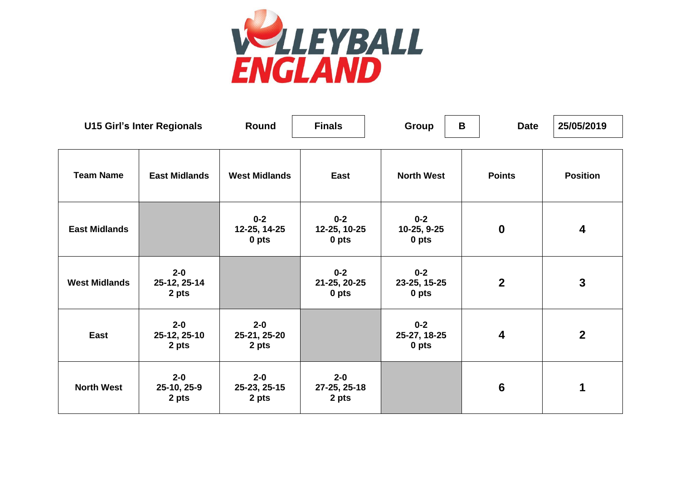

| <b>U15 Girl's Inter Regionals</b> |                                  | Round                            | <b>Finals</b>                    | Group                            | B | <b>Date</b>             | 25/05/2019              |
|-----------------------------------|----------------------------------|----------------------------------|----------------------------------|----------------------------------|---|-------------------------|-------------------------|
| <b>Team Name</b>                  | <b>East Midlands</b>             | <b>West Midlands</b>             | East                             | <b>North West</b>                |   | <b>Points</b>           | <b>Position</b>         |
| <b>East Midlands</b>              |                                  | $0 - 2$<br>12-25, 14-25<br>0 pts | $0 - 2$<br>12-25, 10-25<br>0 pts | $0 - 2$<br>10-25, 9-25<br>0 pts  |   | $\mathbf 0$             | $\overline{\mathbf{4}}$ |
| <b>West Midlands</b>              | $2 - 0$<br>25-12, 25-14<br>2 pts |                                  | $0 - 2$<br>21-25, 20-25<br>0 pts | $0 - 2$<br>23-25, 15-25<br>0 pts |   | $\overline{2}$          | $\mathbf{3}$            |
| East                              | $2 - 0$<br>25-12, 25-10<br>2 pts | $2 - 0$<br>25-21, 25-20<br>2 pts |                                  | $0 - 2$<br>25-27, 18-25<br>0 pts |   | $\overline{\mathbf{4}}$ | $\overline{2}$          |
| <b>North West</b>                 | $2 - 0$<br>25-10, 25-9<br>2 pts  | $2 - 0$<br>25-23, 25-15<br>2 pts | $2 - 0$<br>27-25, 25-18<br>2 pts |                                  |   | $6\phantom{1}6$         | 1                       |